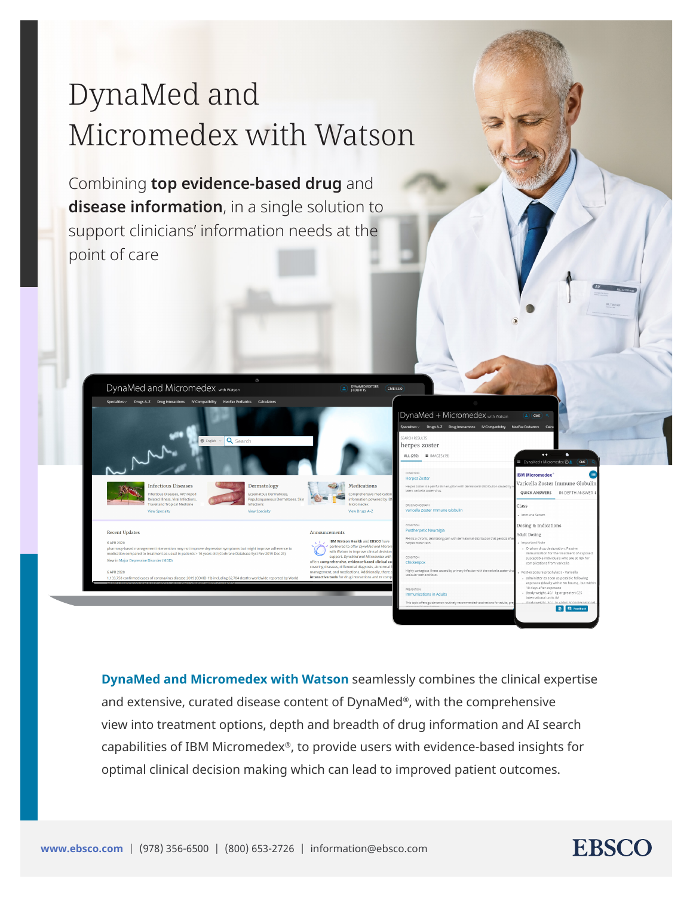# DynaMed and Micromedex with Watson

Combining **top evidence-based drug** and **disease information**, in a single solution to support clinicians' information needs at the point of care



**DynaMed and Micromedex with Watson** seamlessly combines the clinical expertise and extensive, curated disease content of DynaMed®, with the comprehensive view into treatment options, depth and breadth of drug information and AI search capabilities of IBM Micromedex®, to provide users with evidence-based insights for optimal clinical decision making which can lead to improved patient outcomes.

## **EBSCO**

 $\blacksquare$